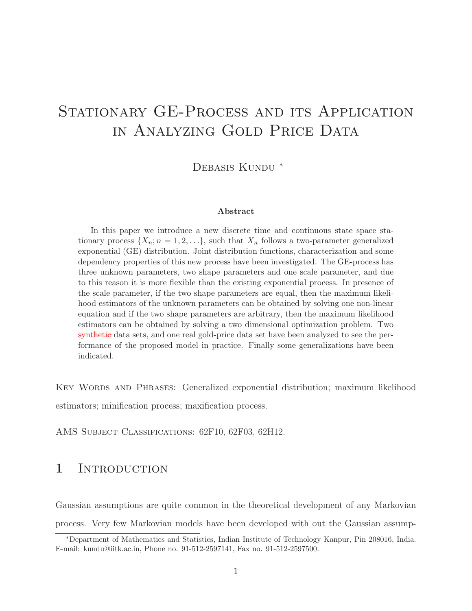# STATIONARY GE-PROCESS AND ITS APPLICATION in Analyzing Gold Price Data

DEBASIS KUNDU <sup>\*</sup>

#### Abstract

In this paper we introduce a new discrete time and continuous state space stationary process  $\{X_n; n = 1, 2, \ldots\}$ , such that  $X_n$  follows a two-parameter generalized exponential (GE) distribution. Joint distribution functions, characterization and some dependency properties of this new process have been investigated. The GE-process has three unknown parameters, two shape parameters and one scale parameter, and due to this reason it is more flexible than the existing exponential process. In presence of the scale parameter, if the two shape parameters are equal, then the maximum likelihood estimators of the unknown parameters can be obtained by solving one non-linear equation and if the two shape parameters are arbitrary, then the maximum likelihood estimators can be obtained by solving a two dimensional optimization problem. Two synthetic data sets, and one real gold-price data set have been analyzed to see the performance of the proposed model in practice. Finally some generalizations have been indicated.

Key Words and Phrases: Generalized exponential distribution; maximum likelihood estimators; minification process; maxification process.

AMS Subject Classifications: 62F10, 62F03, 62H12.

# 1 INTRODUCTION

Gaussian assumptions are quite common in the theoretical development of any Markovian process. Very few Markovian models have been developed with out the Gaussian assump-

<sup>∗</sup>Department of Mathematics and Statistics, Indian Institute of Technology Kanpur, Pin 208016, India. E-mail: kundu@iitk.ac.in, Phone no. 91-512-2597141, Fax no. 91-512-2597500.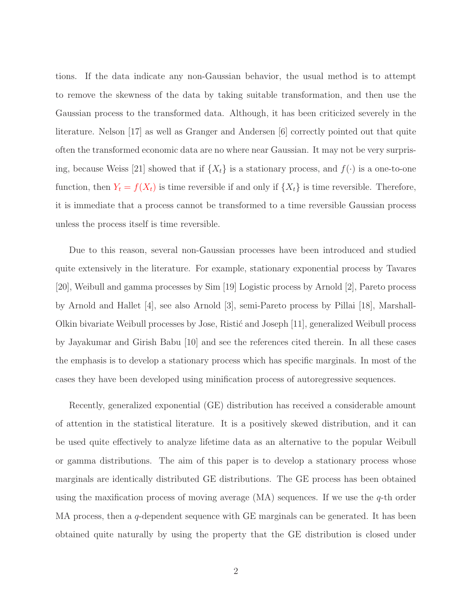tions. If the data indicate any non-Gaussian behavior, the usual method is to attempt to remove the skewness of the data by taking suitable transformation, and then use the Gaussian process to the transformed data. Although, it has been criticized severely in the literature. Nelson [17] as well as Granger and Andersen [6] correctly pointed out that quite often the transformed economic data are no where near Gaussian. It may not be very surprising, because Weiss [21] showed that if  $\{X_t\}$  is a stationary process, and  $f(\cdot)$  is a one-to-one function, then  $Y_t = f(X_t)$  is time reversible if and only if  $\{X_t\}$  is time reversible. Therefore, it is immediate that a process cannot be transformed to a time reversible Gaussian process unless the process itself is time reversible.

Due to this reason, several non-Gaussian processes have been introduced and studied quite extensively in the literature. For example, stationary exponential process by Tavares [20], Weibull and gamma processes by Sim [19] Logistic process by Arnold [2], Pareto process by Arnold and Hallet [4], see also Arnold [3], semi-Pareto process by Pillai [18], Marshall-Olkin bivariate Weibull processes by Jose, Risti´c and Joseph [11], generalized Weibull process by Jayakumar and Girish Babu [10] and see the references cited therein. In all these cases the emphasis is to develop a stationary process which has specific marginals. In most of the cases they have been developed using minification process of autoregressive sequences.

Recently, generalized exponential (GE) distribution has received a considerable amount of attention in the statistical literature. It is a positively skewed distribution, and it can be used quite effectively to analyze lifetime data as an alternative to the popular Weibull or gamma distributions. The aim of this paper is to develop a stationary process whose marginals are identically distributed GE distributions. The GE process has been obtained using the maxification process of moving average  $(MA)$  sequences. If we use the q-th order MA process, then a q-dependent sequence with  $GE$  marginals can be generated. It has been obtained quite naturally by using the property that the GE distribution is closed under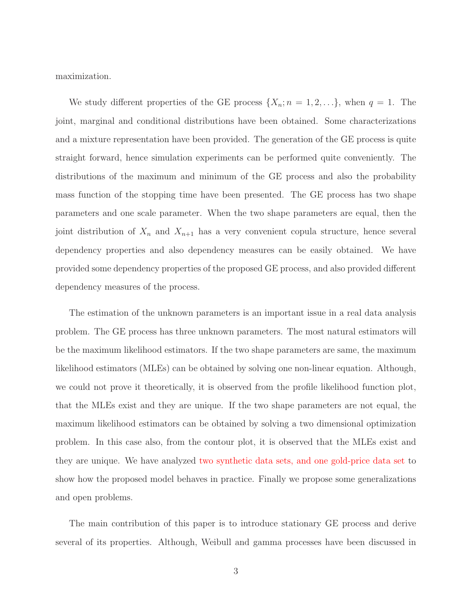maximization.

We study different properties of the GE process  $\{X_n; n = 1, 2, ...\}$ , when  $q = 1$ . The joint, marginal and conditional distributions have been obtained. Some characterizations and a mixture representation have been provided. The generation of the GE process is quite straight forward, hence simulation experiments can be performed quite conveniently. The distributions of the maximum and minimum of the GE process and also the probability mass function of the stopping time have been presented. The GE process has two shape parameters and one scale parameter. When the two shape parameters are equal, then the joint distribution of  $X_n$  and  $X_{n+1}$  has a very convenient copula structure, hence several dependency properties and also dependency measures can be easily obtained. We have provided some dependency properties of the proposed GE process, and also provided different dependency measures of the process.

The estimation of the unknown parameters is an important issue in a real data analysis problem. The GE process has three unknown parameters. The most natural estimators will be the maximum likelihood estimators. If the two shape parameters are same, the maximum likelihood estimators (MLEs) can be obtained by solving one non-linear equation. Although, we could not prove it theoretically, it is observed from the profile likelihood function plot, that the MLEs exist and they are unique. If the two shape parameters are not equal, the maximum likelihood estimators can be obtained by solving a two dimensional optimization problem. In this case also, from the contour plot, it is observed that the MLEs exist and they are unique. We have analyzed two synthetic data sets, and one gold-price data set to show how the proposed model behaves in practice. Finally we propose some generalizations and open problems.

The main contribution of this paper is to introduce stationary GE process and derive several of its properties. Although, Weibull and gamma processes have been discussed in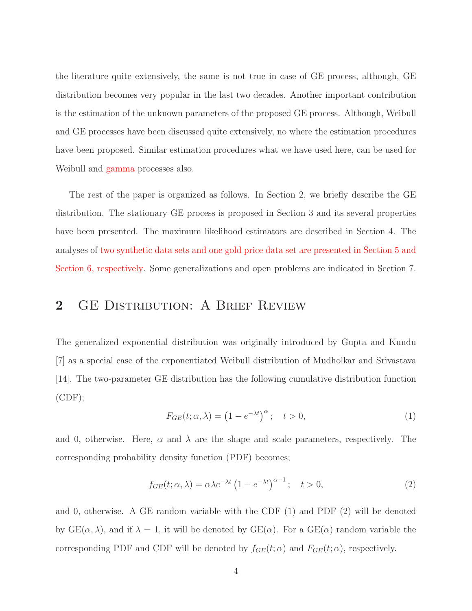the literature quite extensively, the same is not true in case of GE process, although, GE distribution becomes very popular in the last two decades. Another important contribution is the estimation of the unknown parameters of the proposed GE process. Although, Weibull and GE processes have been discussed quite extensively, no where the estimation procedures have been proposed. Similar estimation procedures what we have used here, can be used for Weibull and gamma processes also.

The rest of the paper is organized as follows. In Section 2, we briefly describe the GE distribution. The stationary GE process is proposed in Section 3 and its several properties have been presented. The maximum likelihood estimators are described in Section 4. The analyses of two synthetic data sets and one gold price data set are presented in Section 5 and Section 6, respectively. Some generalizations and open problems are indicated in Section 7.

#### 2 GE DISTRIBUTION: A BRIEF REVIEW

The generalized exponential distribution was originally introduced by Gupta and Kundu [7] as a special case of the exponentiated Weibull distribution of Mudholkar and Srivastava [14]. The two-parameter GE distribution has the following cumulative distribution function  $(CDF);$ 

$$
F_{GE}(t; \alpha, \lambda) = \left(1 - e^{-\lambda t}\right)^{\alpha}; \quad t > 0,
$$
\n<sup>(1)</sup>

and 0, otherwise. Here,  $\alpha$  and  $\lambda$  are the shape and scale parameters, respectively. The corresponding probability density function (PDF) becomes;

$$
f_{GE}(t; \alpha, \lambda) = \alpha \lambda e^{-\lambda t} \left( 1 - e^{-\lambda t} \right)^{\alpha - 1}; \quad t > 0,
$$
\n<sup>(2)</sup>

and 0, otherwise. A GE random variable with the CDF  $(1)$  and PDF  $(2)$  will be denoted by  $GE(\alpha, \lambda)$ , and if  $\lambda = 1$ , it will be denoted by  $GE(\alpha)$ . For a  $GE(\alpha)$  random variable the corresponding PDF and CDF will be denoted by  $f_{GE}(t; \alpha)$  and  $F_{GE}(t; \alpha)$ , respectively.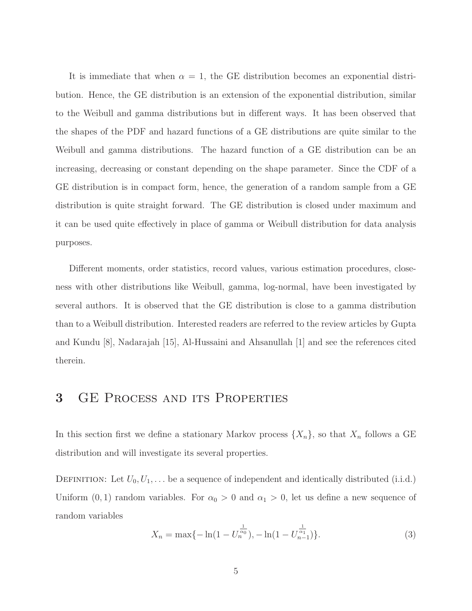It is immediate that when  $\alpha = 1$ , the GE distribution becomes an exponential distribution. Hence, the GE distribution is an extension of the exponential distribution, similar to the Weibull and gamma distributions but in different ways. It has been observed that the shapes of the PDF and hazard functions of a GE distributions are quite similar to the Weibull and gamma distributions. The hazard function of a GE distribution can be an increasing, decreasing or constant depending on the shape parameter. Since the CDF of a GE distribution is in compact form, hence, the generation of a random sample from a GE distribution is quite straight forward. The GE distribution is closed under maximum and it can be used quite effectively in place of gamma or Weibull distribution for data analysis purposes.

Different moments, order statistics, record values, various estimation procedures, closeness with other distributions like Weibull, gamma, log-normal, have been investigated by several authors. It is observed that the GE distribution is close to a gamma distribution than to a Weibull distribution. Interested readers are referred to the review articles by Gupta and Kundu [8], Nadarajah [15], Al-Hussaini and Ahsanullah [1] and see the references cited therein.

# 3 GE Process and its Properties

In this section first we define a stationary Markov process  $\{X_n\}$ , so that  $X_n$  follows a GE distribution and will investigate its several properties.

DEFINITION: Let  $U_0, U_1, \ldots$  be a sequence of independent and identically distributed (i.i.d.) Uniform  $(0, 1)$  random variables. For  $\alpha_0 > 0$  and  $\alpha_1 > 0$ , let us define a new sequence of random variables

$$
X_n = \max\{-\ln(1 - U_n^{\frac{1}{\alpha_0}}), -\ln(1 - U_{n-1}^{\frac{1}{\alpha_1}})\}.
$$
\n(3)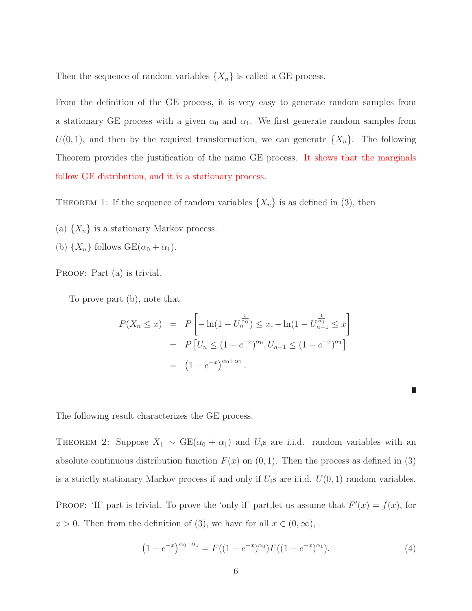Then the sequence of random variables  $\{X_n\}$  is called a GE process.

From the definition of the GE process, it is very easy to generate random samples from a stationary GE process with a given  $\alpha_0$  and  $\alpha_1$ . We first generate random samples from  $U(0, 1)$ , and then by the required transformation, we can generate  $\{X_n\}$ . The following Theorem provides the justification of the name GE process. It shows that the marginals follow GE distribution, and it is a stationary process.

THEOREM 1: If the sequence of random variables  $\{X_n\}$  is as defined in (3), then

- (a)  $\{X_n\}$  is a stationary Markov process.
- (b)  $\{X_n\}$  follows  $GE(\alpha_0 + \alpha_1)$ .

PROOF: Part (a) is trivial.

To prove part (b), note that

$$
P(X_n \le x) = P\left[-\ln(1 - U_n^{\frac{1}{\alpha_0}}) \le x, -\ln(1 - U_{n-1}^{\frac{1}{\alpha_1}}) \le x\right]
$$
  
= 
$$
P\left[U_n \le (1 - e^{-x})^{\alpha_0}, U_{n-1} \le (1 - e^{-x})^{\alpha_1}\right]
$$
  
= 
$$
(1 - e^{-x})^{\alpha_0 + \alpha_1}.
$$

|  |  | The following result characterizes the GE process. |  |  |  |
|--|--|----------------------------------------------------|--|--|--|
|--|--|----------------------------------------------------|--|--|--|

THEOREM 2: Suppose  $X_1 \sim \text{GE}(\alpha_0 + \alpha_1)$  and  $U_i$ s are i.i.d. random variables with an absolute continuous distribution function  $F(x)$  on  $(0, 1)$ . Then the process as defined in (3) is a strictly stationary Markov process if and only if  $U_i$ s are i.i.d.  $U(0, 1)$  random variables.

PROOF: 'If' part is trivial. To prove the 'only if' part, let us assume that  $F'(x) = f(x)$ , for  $x > 0$ . Then from the definition of (3), we have for all  $x \in (0, \infty)$ ,

$$
(1 - e^{-x})^{\alpha_0 + \alpha_1} = F((1 - e^{-x})^{\alpha_0})F((1 - e^{-x})^{\alpha_1}).
$$
\n(4)

П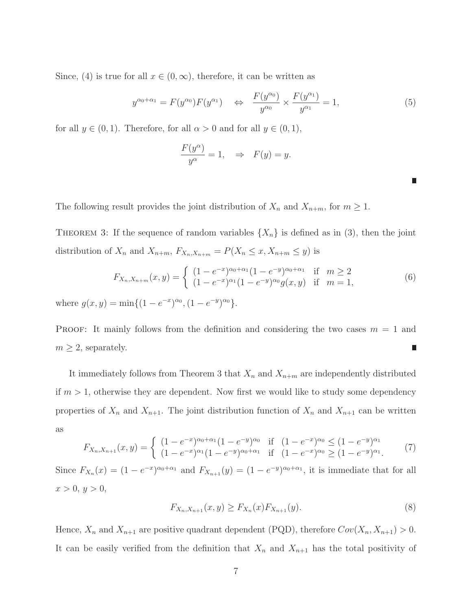Since, (4) is true for all  $x \in (0,\infty)$ , therefore, it can be written as

$$
y^{\alpha_0+\alpha_1} = F(y^{\alpha_0})F(y^{\alpha_1}) \quad \Leftrightarrow \quad \frac{F(y^{\alpha_0})}{y^{\alpha_0}} \times \frac{F(y^{\alpha_1})}{y^{\alpha_1}} = 1,\tag{5}
$$

for all  $y \in (0, 1)$ . Therefore, for all  $\alpha > 0$  and for all  $y \in (0, 1)$ ,

$$
\frac{F(y^{\alpha})}{y^{\alpha}} = 1, \Rightarrow F(y) = y.
$$

The following result provides the joint distribution of  $X_n$  and  $X_{n+m}$ , for  $m \geq 1$ .

THEOREM 3: If the sequence of random variables  $\{X_n\}$  is defined as in (3), then the joint distribution of  $X_n$  and  $X_{n+m}$ ,  $F_{X_n,X_{n+m}} = P(X_n \le x, X_{n+m} \le y)$  is

$$
F_{X_n, X_{n+m}}(x, y) = \begin{cases} (1 - e^{-x})^{\alpha_0 + \alpha_1} (1 - e^{-y})^{\alpha_0 + \alpha_1} & \text{if } m \ge 2\\ (1 - e^{-x})^{\alpha_1} (1 - e^{-y})^{\alpha_0} g(x, y) & \text{if } m = 1, \end{cases}
$$
(6)

where  $g(x, y) = \min\{(1 - e^{-x})^{\alpha_0}, (1 - e^{-y})^{\alpha_0}\}.$ 

**PROOF:** It mainly follows from the definition and considering the two cases  $m = 1$  and  $m \geq 2$ , separately.

It immediately follows from Theorem 3 that  $X_n$  and  $X_{n+m}$  are independently distributed if  $m > 1$ , otherwise they are dependent. Now first we would like to study some dependency properties of  $X_n$  and  $X_{n+1}$ . The joint distribution function of  $X_n$  and  $X_{n+1}$  can be written as

$$
F_{X_n, X_{n+1}}(x, y) = \begin{cases} (1 - e^{-x})^{\alpha_0 + \alpha_1} (1 - e^{-y})^{\alpha_0} & \text{if } (1 - e^{-x})^{\alpha_0} \le (1 - e^{-y})^{\alpha_1} \\ (1 - e^{-x})^{\alpha_1} (1 - e^{-y})^{\alpha_0 + \alpha_1} & \text{if } (1 - e^{-x})^{\alpha_0} \ge (1 - e^{-y})^{\alpha_1}. \end{cases} (7)
$$

Since  $F_{X_n}(x) = (1 - e^{-x})^{\alpha_0 + \alpha_1}$  and  $F_{X_{n+1}}(y) = (1 - e^{-y})^{\alpha_0 + \alpha_1}$ , it is immediate that for all  $x > 0, y > 0,$ 

$$
F_{X_n, X_{n+1}}(x, y) \ge F_{X_n}(x) F_{X_{n+1}}(y). \tag{8}
$$

Hence,  $X_n$  and  $X_{n+1}$  are positive quadrant dependent (PQD), therefore  $Cov(X_n, X_{n+1}) > 0$ . It can be easily verified from the definition that  $X_n$  and  $X_{n+1}$  has the total positivity of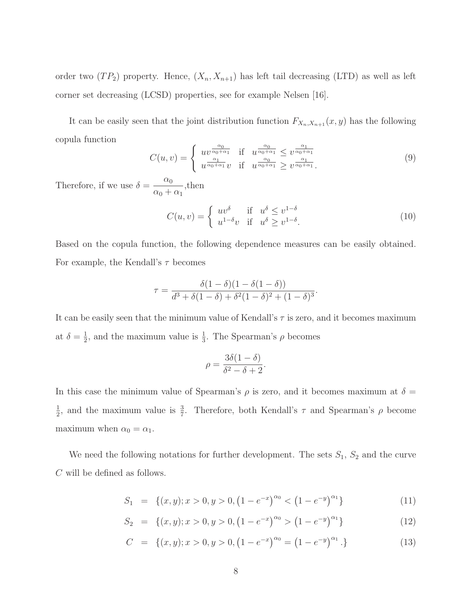order two  $(T P_2)$  property. Hence,  $(X_n, X_{n+1})$  has left tail decreasing (LTD) as well as left corner set decreasing (LCSD) properties, see for example Nelsen [16].

It can be easily seen that the joint distribution function  $F_{X_n,X_{n+1}}(x, y)$  has the following copula function

$$
C(u,v) = \begin{cases} uv^{\frac{\alpha_0}{\alpha_0 + \alpha_1}} & \text{if } u^{\frac{\alpha_0}{\alpha_0 + \alpha_1}} \le v^{\frac{\alpha_1}{\alpha_0 + \alpha_1}} \\ u^{\frac{\alpha_1}{\alpha_0 + \alpha_1}} v & \text{if } u^{\frac{\alpha_0}{\alpha_0 + \alpha_1}} \ge v^{\frac{\alpha_1}{\alpha_0 + \alpha_1}}. \end{cases}
$$
(9)

Therefore, if we use  $\delta = \frac{\alpha_0}{\alpha}$  $\frac{\alpha_0}{\alpha_0 + \alpha_1}$ , then

$$
C(u,v) = \begin{cases} uv^{\delta} & \text{if } u^{\delta} \le v^{1-\delta} \\ u^{1-\delta}v & \text{if } u^{\delta} \ge v^{1-\delta}. \end{cases}
$$
 (10)

Based on the copula function, the following dependence measures can be easily obtained. For example, the Kendall's  $\tau$  becomes

$$
\tau = \frac{\delta(1-\delta)(1-\delta(1-\delta))}{d^3 + \delta(1-\delta) + \delta^2(1-\delta)^2 + (1-\delta)^3}.
$$

It can be easily seen that the minimum value of Kendall's  $\tau$  is zero, and it becomes maximum at  $\delta = \frac{1}{2}$  $\frac{1}{2}$ , and the maximum value is  $\frac{1}{3}$ . The Spearman's  $\rho$  becomes

$$
\rho = \frac{3\delta(1-\delta)}{\delta^2 - \delta + 2}.
$$

In this case the minimum value of Spearman's  $\rho$  is zero, and it becomes maximum at  $\delta =$ 1  $\frac{1}{2}$ , and the maximum value is  $\frac{3}{7}$ . Therefore, both Kendall's  $\tau$  and Spearman's  $\rho$  become maximum when  $\alpha_0 = \alpha_1$ .

We need the following notations for further development. The sets  $S_1$ ,  $S_2$  and the curve C will be defined as follows.

$$
S_1 = \{(x, y); x > 0, y > 0, (1 - e^{-x})^{\alpha_0} < (1 - e^{-y})^{\alpha_1}\}\
$$
\n(11)

$$
S_2 = \{(x, y); x > 0, y > 0, (1 - e^{-x})^{\alpha_0} > (1 - e^{-y})^{\alpha_1}\}\
$$
\n(12)

$$
C = \{(x, y); x > 0, y > 0, (1 - e^{-x})^{\alpha_0} = (1 - e^{-y})^{\alpha_1}.\}
$$
\n(13)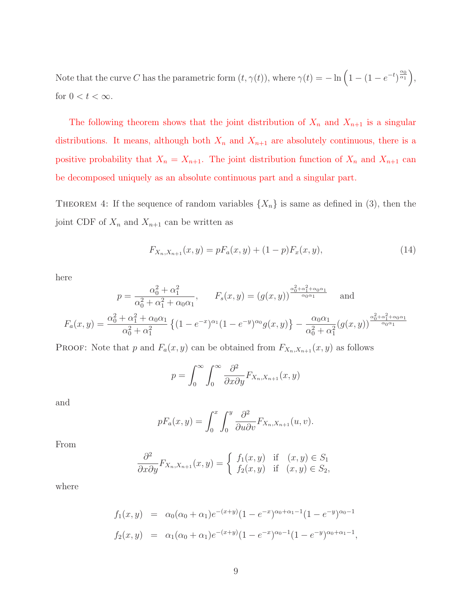Note that the curve C has the parametric form  $(t, \gamma(t))$ , where  $\gamma(t) = -\ln\left(1 - (1 - e^{-t})^{\frac{\alpha_0}{\alpha_1}}\right)$ , for  $0 < t < \infty$ .

The following theorem shows that the joint distribution of  $X_n$  and  $X_{n+1}$  is a singular distributions. It means, although both  $X_n$  and  $X_{n+1}$  are absolutely continuous, there is a positive probability that  $X_n = X_{n+1}$ . The joint distribution function of  $X_n$  and  $X_{n+1}$  can be decomposed uniquely as an absolute continuous part and a singular part.

THEOREM 4: If the sequence of random variables  $\{X_n\}$  is same as defined in (3), then the joint CDF of  $X_n$  and  $X_{n+1}$  can be written as

$$
F_{X_n, X_{n+1}}(x, y) = pF_a(x, y) + (1 - p)F_x(x, y), \qquad (14)
$$

here

$$
p = \frac{\alpha_0^2 + \alpha_1^2}{\alpha_0^2 + \alpha_1^2 + \alpha_0 \alpha_1}, \qquad F_s(x, y) = (g(x, y))^{\frac{\alpha_0^2 + \alpha_1^2 + \alpha_0 \alpha_1}{\alpha_0 \alpha_1}} \quad \text{and}
$$

$$
F_a(x, y) = \frac{\alpha_0^2 + \alpha_1^2 + \alpha_0 \alpha_1}{\alpha_0^2 + \alpha_1^2} \left\{ (1 - e^{-x})^{\alpha_1} (1 - e^{-y})^{\alpha_0} g(x, y) \right\} - \frac{\alpha_0 \alpha_1}{\alpha_0^2 + \alpha_1^2} (g(x, y))^{\frac{\alpha_0^2 + \alpha_1^2 + \alpha_0 \alpha_1}{\alpha_0 \alpha_1}}
$$

PROOF: Note that p and  $F_a(x, y)$  can be obtained from  $F_{X_n, X_{n+1}}(x, y)$  as follows

$$
p = \int_0^\infty \int_0^\infty \frac{\partial^2}{\partial x \partial y} F_{X_n, X_{n+1}}(x, y)
$$

and

$$
pF_a(x,y) = \int_0^x \int_0^y \frac{\partial^2}{\partial u \partial v} F_{X_n, X_{n+1}}(u, v).
$$

From

$$
\frac{\partial^2}{\partial x \partial y} F_{X_n, X_{n+1}}(x, y) = \begin{cases} f_1(x, y) & \text{if } (x, y) \in S_1 \\ f_2(x, y) & \text{if } (x, y) \in S_2, \end{cases}
$$

where

$$
f_1(x,y) = \alpha_0(\alpha_0 + \alpha_1)e^{-(x+y)}(1 - e^{-x})^{\alpha_0 + \alpha_1 - 1}(1 - e^{-y})^{\alpha_0 - 1}
$$
  

$$
f_2(x,y) = \alpha_1(\alpha_0 + \alpha_1)e^{-(x+y)}(1 - e^{-x})^{\alpha_0 - 1}(1 - e^{-y})^{\alpha_0 + \alpha_1 - 1},
$$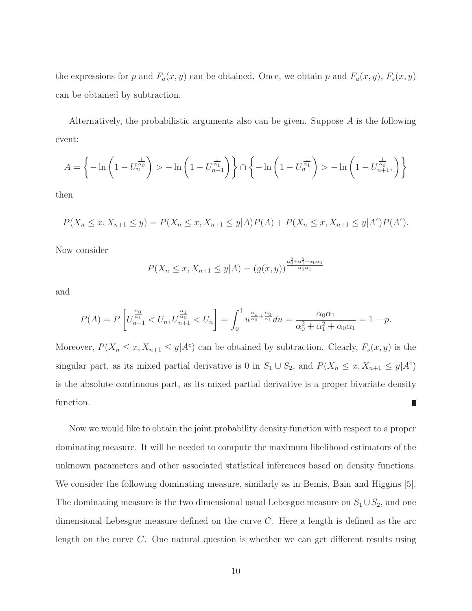the expressions for p and  $F_a(x, y)$  can be obtained. Once, we obtain p and  $F_a(x, y)$ ,  $F_s(x, y)$ can be obtained by subtraction.

Alternatively, the probabilistic arguments also can be given. Suppose A is the following event:

$$
A = \left\{-\ln\left(1 - U_n^{\frac{1}{\alpha_0}}\right) > -\ln\left(1 - U_{n-1}^{\frac{1}{\alpha_1}}\right)\right\} \cap \left\{-\ln\left(1 - U_n^{\frac{1}{\alpha_1}}\right) > -\ln\left(1 - U_{n+1}^{\frac{1}{\alpha_0}},\right)\right\}
$$

then

$$
P(X_n \le x, X_{n+1} \le y) = P(X_n \le x, X_{n+1} \le y|A)P(A) + P(X_n \le x, X_{n+1} \le y|A^c)P(A^c).
$$

Now consider

$$
P(X_n \le x, X_{n+1} \le y|A) = (g(x, y))^{\frac{\alpha_0^2 + \alpha_1^2 + \alpha_0 \alpha_1}{\alpha_0 \alpha_1}}
$$

and

$$
P(A) = P\left[U_{n-1}^{\frac{\alpha_0}{\alpha_1}} < U_n, U_{n+1}^{\frac{\alpha_1}{\alpha_0}} < U_n\right] = \int_0^1 u^{\frac{\alpha_1}{\alpha_0} + \frac{\alpha_0}{\alpha_1}} du = \frac{\alpha_0 \alpha_1}{\alpha_0^2 + \alpha_1^2 + \alpha_0 \alpha_1} = 1 - p.
$$

Moreover,  $P(X_n \le x, X_{n+1} \le y | A^c)$  can be obtained by subtraction. Clearly,  $F_s(x, y)$  is the singular part, as its mixed partial derivative is 0 in  $S_1 \cup S_2$ , and  $P(X_n \le x, X_{n+1} \le y|A^c)$ is the absolute continuous part, as its mixed partial derivative is a proper bivariate density function. Г

Now we would like to obtain the joint probability density function with respect to a proper dominating measure. It will be needed to compute the maximum likelihood estimators of the unknown parameters and other associated statistical inferences based on density functions. We consider the following dominating measure, similarly as in Bemis, Bain and Higgins [5]. The dominating measure is the two dimensional usual Lebesgue measure on  $S_1 \cup S_2$ , and one dimensional Lebesgue measure defined on the curve  $C$ . Here a length is defined as the arc length on the curve C. One natural question is whether we can get different results using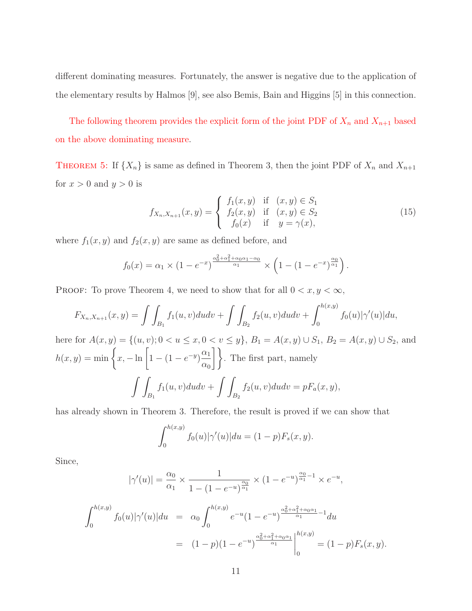different dominating measures. Fortunately, the answer is negative due to the application of the elementary results by Halmos [9], see also Bemis, Bain and Higgins [5] in this connection.

The following theorem provides the explicit form of the joint PDF of  $X_n$  and  $X_{n+1}$  based on the above dominating measure.

**THEOREM 5:** If  $\{X_n\}$  is same as defined in Theorem 3, then the joint PDF of  $X_n$  and  $X_{n+1}$ for  $x > 0$  and  $y > 0$  is

$$
f_{X_n,X_{n+1}}(x,y) = \begin{cases} f_1(x,y) & \text{if } (x,y) \in S_1 \\ f_2(x,y) & \text{if } (x,y) \in S_2 \\ f_0(x) & \text{if } y = \gamma(x), \end{cases}
$$
(15)

where  $f_1(x, y)$  and  $f_2(x, y)$  are same as defined before, and

$$
f_0(x) = \alpha_1 \times (1 - e^{-x})^{\frac{\alpha_0^2 + \alpha_1^2 + \alpha_0 \alpha_1 - \alpha_0}{\alpha_1}} \times \left(1 - (1 - e^{-x})^{\frac{\alpha_0}{\alpha_1}}\right).
$$

PROOF: To prove Theorem 4, we need to show that for all  $0 < x, y < \infty$ ,

$$
F_{X_n,X_{n+1}}(x,y) = \int \int_{B_1} f_1(u,v) du dv + \int \int_{B_2} f_2(u,v) du dv + \int_0^{h(x,y)} f_0(u) |\gamma'(u)| du,
$$

here for  $A(x, y) = \{(u, v); 0 < u \le x, 0 < v \le y\}$ ,  $B_1 = A(x, y) \cup S_1$ ,  $B_2 = A(x, y) \cup S_2$ , and  $h(x, y) = \min \left\{ x, -\ln \left[ 1 - (1 - e^{-y}) \frac{\alpha_1}{\alpha_1} \right] \right\}$  $\alpha_0$  $\left.\rule{0pt}{2.5pt}\right\}$ . The first part, namely  $\int$  $B_1$  $f_1(u, v)dudv +$  $\int$  $B<sub>2</sub>$  $f_2(u, v)dudv = pF_a(x, y),$ 

has already shown in Theorem 3. Therefore, the result is proved if we can show that

$$
\int_0^{h(x,y)} f_0(u) |\gamma'(u)| du = (1 - p) F_s(x, y).
$$

Since,

$$
|\gamma'(u)| = \frac{\alpha_0}{\alpha_1} \times \frac{1}{1 - (1 - e^{-u})^{\frac{\alpha_0}{\alpha_1}}} \times (1 - e^{-u})^{\frac{\alpha_0}{\alpha_1} - 1} \times e^{-u},
$$

$$
\int_0^{h(x,y)} f_0(u)|\gamma'(u)|du = \alpha_0 \int_0^{h(x,y)} e^{-u} (1 - e^{-u})^{\frac{\alpha_0^2 + \alpha_1^2 + \alpha_0 \alpha_1}{\alpha_1} - 1} du
$$
  
=  $(1 - p)(1 - e^{-u})^{\frac{\alpha_0^2 + \alpha_1^2 + \alpha_0 \alpha_1}{\alpha_1}}\Big|_0^{h(x,y)} = (1 - p)F_s(x, y).$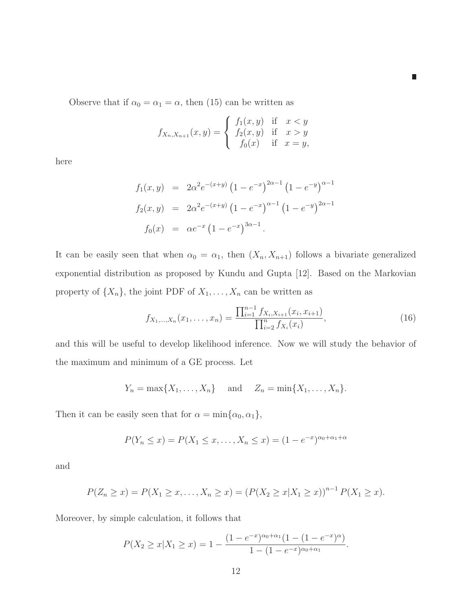$\mathbb{R}^2$ 

Observe that if  $\alpha_0 = \alpha_1 = \alpha$ , then (15) can be written as

$$
f_{X_n,X_{n+1}}(x,y) = \begin{cases} f_1(x,y) & \text{if } x < y \\ f_2(x,y) & \text{if } x > y \\ f_0(x) & \text{if } x = y, \end{cases}
$$

here

$$
f_1(x, y) = 2\alpha^2 e^{-(x+y)} (1 - e^{-x})^{2\alpha - 1} (1 - e^{-y})^{\alpha - 1}
$$
  
\n
$$
f_2(x, y) = 2\alpha^2 e^{-(x+y)} (1 - e^{-x})^{\alpha - 1} (1 - e^{-y})^{2\alpha - 1}
$$
  
\n
$$
f_0(x) = \alpha e^{-x} (1 - e^{-x})^{3\alpha - 1}.
$$

It can be easily seen that when  $\alpha_0 = \alpha_1$ , then  $(X_n, X_{n+1})$  follows a bivariate generalized exponential distribution as proposed by Kundu and Gupta [12]. Based on the Markovian property of  $\{X_n\}$ , the joint PDF of  $X_1, \ldots, X_n$  can be written as

$$
f_{X_1,\ldots,X_n}(x_1,\ldots,x_n) = \frac{\prod_{i=1}^{n-1} f_{X_i,X_{i+1}}(x_i,x_{i+1})}{\prod_{i=2}^n f_{X_i}(x_i)},
$$
\n(16)

and this will be useful to develop likelihood inference. Now we will study the behavior of the maximum and minimum of a GE process. Let

$$
Y_n = \max\{X_1, \ldots, X_n\} \quad \text{and} \quad Z_n = \min\{X_1, \ldots, X_n\}.
$$

Then it can be easily seen that for  $\alpha = \min{\{\alpha_0, \alpha_1\}},$ 

$$
P(Y_n \le x) = P(X_1 \le x, \dots, X_n \le x) = (1 - e^{-x})^{\alpha_0 + \alpha_1 + \alpha}
$$

and

$$
P(Z_n \ge x) = P(X_1 \ge x, \dots, X_n \ge x) = (P(X_2 \ge x | X_1 \ge x))^{n-1} P(X_1 \ge x).
$$

Moreover, by simple calculation, it follows that

$$
P(X_2 \ge x | X_1 \ge x) = 1 - \frac{(1 - e^{-x})^{\alpha_0 + \alpha_1} (1 - (1 - e^{-x})^{\alpha})}{1 - (1 - e^{-x})^{\alpha_0 + \alpha_1}}.
$$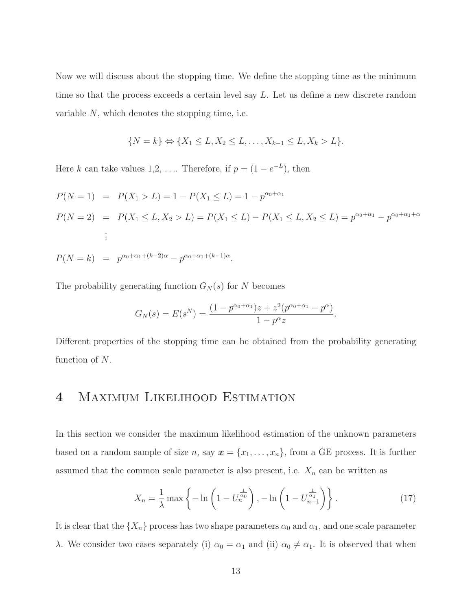Now we will discuss about the stopping time. We define the stopping time as the minimum time so that the process exceeds a certain level say L. Let us define a new discrete random variable  $N$ , which denotes the stopping time, i.e.

$$
\{N = k\} \Leftrightarrow \{X_1 \le L, X_2 \le L, \dots, X_{k-1} \le L, X_k > L\}.
$$

Here k can take values  $1, 2, \ldots$  Therefore, if  $p = (1 - e^{-L})$ , then

$$
P(N = 1) = P(X_1 > L) = 1 - P(X_1 \le L) = 1 - p^{\alpha_0 + \alpha_1}
$$
  
\n
$$
P(N = 2) = P(X_1 \le L, X_2 > L) = P(X_1 \le L) - P(X_1 \le L, X_2 \le L) = p^{\alpha_0 + \alpha_1} - p^{\alpha_0 + \alpha_1 + \alpha}
$$
  
\n
$$
\vdots
$$
  
\n
$$
P(N = k) = p^{\alpha_0 + \alpha_1 + (k-2)\alpha} - p^{\alpha_0 + \alpha_1 + (k-1)\alpha}.
$$

The probability generating function  $G_N(s)$  for N becomes

$$
G_N(s) = E(s^N) = \frac{(1 - p^{\alpha_0 + \alpha_1})z + z^2(p^{\alpha_0 + \alpha_1} - p^{\alpha})}{1 - p^{\alpha}z}.
$$

Different properties of the stopping time can be obtained from the probability generating function of N.

## 4 Maximum Likelihood Estimation

In this section we consider the maximum likelihood estimation of the unknown parameters based on a random sample of size n, say  $\mathbf{x} = \{x_1, \ldots, x_n\}$ , from a GE process. It is further assumed that the common scale parameter is also present, i.e.  $X_n$  can be written as

$$
X_n = \frac{1}{\lambda} \max \left\{ -\ln \left( 1 - U_n^{\frac{1}{\alpha_0}} \right), -\ln \left( 1 - U_{n-1}^{\frac{1}{\alpha_1}} \right) \right\}.
$$
 (17)

It is clear that the  $\{X_n\}$  process has two shape parameters  $\alpha_0$  and  $\alpha_1$ , and one scale parameter λ. We consider two cases separately (i)  $\alpha_0 = \alpha_1$  and (ii)  $\alpha_0 \neq \alpha_1$ . It is observed that when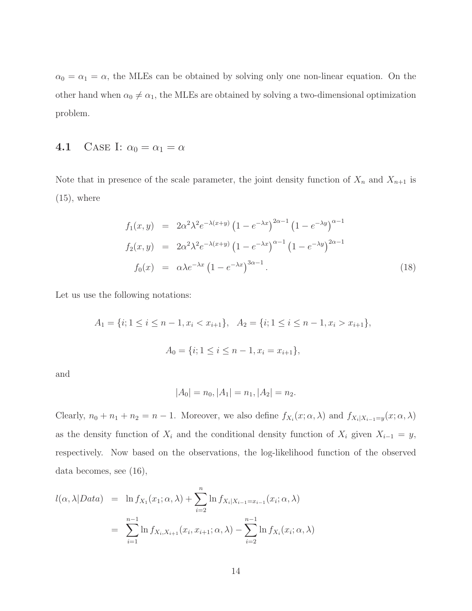$\alpha_0 = \alpha_1 = \alpha$ , the MLEs can be obtained by solving only one non-linear equation. On the other hand when  $\alpha_0 \neq \alpha_1$ , the MLEs are obtained by solving a two-dimensional optimization problem.

#### 4.1 CASE I:  $\alpha_0 = \alpha_1 = \alpha$

Note that in presence of the scale parameter, the joint density function of  $X_n$  and  $X_{n+1}$  is  $(15)$ , where

$$
f_1(x,y) = 2\alpha^2 \lambda^2 e^{-\lambda(x+y)} \left(1 - e^{-\lambda x}\right)^{2\alpha - 1} \left(1 - e^{-\lambda y}\right)^{\alpha - 1}
$$
  
\n
$$
f_2(x,y) = 2\alpha^2 \lambda^2 e^{-\lambda(x+y)} \left(1 - e^{-\lambda x}\right)^{\alpha - 1} \left(1 - e^{-\lambda y}\right)^{2\alpha - 1}
$$
  
\n
$$
f_0(x) = \alpha \lambda e^{-\lambda x} \left(1 - e^{-\lambda x}\right)^{3\alpha - 1}.
$$
\n(18)

Let us use the following notations:

$$
A_1 = \{i; 1 \le i \le n-1, x_i < x_{i+1}\}, \quad A_2 = \{i; 1 \le i \le n-1, x_i > x_{i+1}\},
$$
\n
$$
A_0 = \{i; 1 \le i \le n-1, x_i = x_{i+1}\},
$$

and

$$
|A_0| = n_0, |A_1| = n_1, |A_2| = n_2.
$$

Clearly,  $n_0 + n_1 + n_2 = n - 1$ . Moreover, we also define  $f_{X_i}(x; \alpha, \lambda)$  and  $f_{X_i|X_{i-1}=y}(x; \alpha, \lambda)$ as the density function of  $X_i$  and the conditional density function of  $X_i$  given  $X_{i-1} = y$ , respectively. Now based on the observations, the log-likelihood function of the observed data becomes, see (16),

$$
l(\alpha, \lambda | Data) = \ln f_{X_1}(x_1; \alpha, \lambda) + \sum_{i=2}^n \ln f_{X_i | X_{i-1} = x_{i-1}}(x_i; \alpha, \lambda)
$$
  
= 
$$
\sum_{i=1}^{n-1} \ln f_{X_i, X_{i+1}}(x_i, x_{i+1}; \alpha, \lambda) - \sum_{i=2}^{n-1} \ln f_{X_i}(x_i; \alpha, \lambda)
$$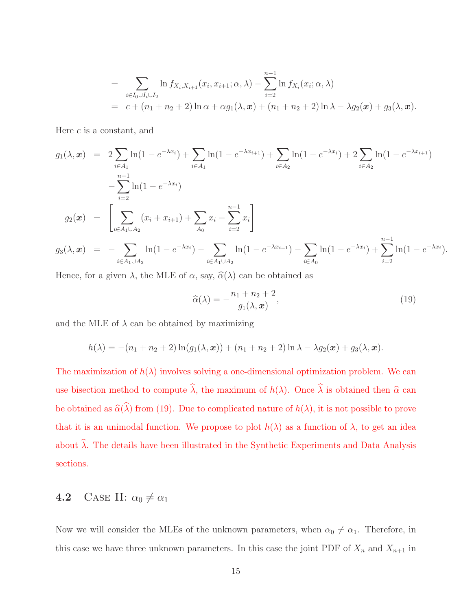$$
= \sum_{i \in I_0 \cup I_i \cup I_2} \ln f_{X_i, X_{i+1}}(x_i, x_{i+1}; \alpha, \lambda) - \sum_{i=2}^{n-1} \ln f_{X_i}(x_i; \alpha, \lambda)
$$
  
=  $c + (n_1 + n_2 + 2) \ln \alpha + \alpha g_1(\lambda, x) + (n_1 + n_2 + 2) \ln \lambda - \lambda g_2(\boldsymbol{x}) + g_3(\lambda, \boldsymbol{x}).$ 

Here  $c$  is a constant, and

$$
g_1(\lambda, \mathbf{x}) = 2 \sum_{i \in A_1} \ln(1 - e^{-\lambda x_i}) + \sum_{i \in A_1} \ln(1 - e^{-\lambda x_{i+1}}) + \sum_{i \in A_2} \ln(1 - e^{-\lambda x_i}) + 2 \sum_{i \in A_2} \ln(1 - e^{-\lambda x_{i+1}})
$$
  

$$
- \sum_{i=2}^{n-1} \ln(1 - e^{-\lambda x_i})
$$
  

$$
g_2(\mathbf{x}) = \left[ \sum_{i \in A_1 \cup A_2} (x_i + x_{i+1}) + \sum_{A_0} x_i - \sum_{i=2}^{n-1} x_i \right]
$$
  

$$
g_3(\lambda, \mathbf{x}) = - \sum_{i \in A_1 \cup A_2} \ln(1 - e^{-\lambda x_i}) - \sum_{i \in A_1 \cup A_2} \ln(1 - e^{-\lambda x_{i+1}}) - \sum_{i \in A_0} \ln(1 - e^{-\lambda x_i}) + \sum_{i=2}^{n-1} \ln(1 - e^{-\lambda x_i}).
$$

Hence, for a given  $\lambda$ , the MLE of  $\alpha$ , say,  $\hat{\alpha}(\lambda)$  can be obtained as

$$
\widehat{\alpha}(\lambda) = -\frac{n_1 + n_2 + 2}{g_1(\lambda, \mathbf{x})},\tag{19}
$$

and the MLE of  $\lambda$  can be obtained by maximizing

$$
h(\lambda) = -(n_1 + n_2 + 2) \ln(g_1(\lambda, \boldsymbol{x})) + (n_1 + n_2 + 2) \ln \lambda - \lambda g_2(\boldsymbol{x}) + g_3(\lambda, \boldsymbol{x}).
$$

The maximization of  $h(\lambda)$  involves solving a one-dimensional optimization problem. We can use bisection method to compute  $\hat{\lambda}$ , the maximum of  $h(\lambda)$ . Once  $\hat{\lambda}$  is obtained then  $\hat{\alpha}$  can be obtained as  $\widehat{\alpha}(\widehat{\lambda})$  from (19). Due to complicated nature of  $h(\lambda)$ , it is not possible to prove that it is an unimodal function. We propose to plot  $h(\lambda)$  as a function of  $\lambda$ , to get an idea about  $\widehat{\lambda}$ . The details have been illustrated in the Synthetic Experiments and Data Analysis sections.

#### **4.2** CASE II:  $\alpha_0 \neq \alpha_1$

Now we will consider the MLEs of the unknown parameters, when  $\alpha_0 \neq \alpha_1$ . Therefore, in this case we have three unknown parameters. In this case the joint PDF of  $X_n$  and  $X_{n+1}$  in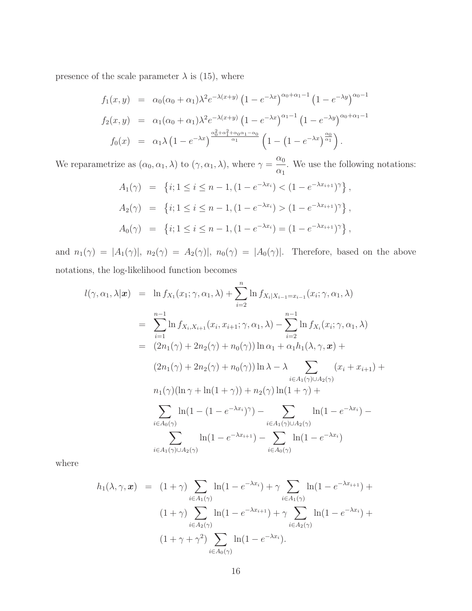presence of the scale parameter  $\lambda$  is (15), where

$$
f_1(x,y) = \alpha_0(\alpha_0 + \alpha_1)\lambda^2 e^{-\lambda(x+y)} (1 - e^{-\lambda x})^{\alpha_0 + \alpha_1 - 1} (1 - e^{-\lambda y})^{\alpha_0 - 1}
$$
  
\n
$$
f_2(x,y) = \alpha_1(\alpha_0 + \alpha_1)\lambda^2 e^{-\lambda(x+y)} (1 - e^{-\lambda x})^{\alpha_1 - 1} (1 - e^{-\lambda y})^{\alpha_0 + \alpha_1 - 1}
$$
  
\n
$$
f_0(x) = \alpha_1\lambda (1 - e^{-\lambda x})^{\frac{\alpha_0^2 + \alpha_1^2 + \alpha_0\alpha_1 - \alpha_0}{\alpha_1}} (1 - (1 - e^{-\lambda x})^{\frac{\alpha_0}{\alpha_1}}).
$$

We reparametrize as  $(\alpha_0, \alpha_1, \lambda)$  to  $(\gamma, \alpha_1, \lambda)$ , where  $\gamma =$  $\alpha_0$  $\frac{\alpha_0}{\alpha_1}$ . We use the following notations:

$$
A_1(\gamma) = \{i; 1 \le i \le n - 1, (1 - e^{-\lambda x_i}) < (1 - e^{-\lambda x_{i+1}})^{\gamma}\},
$$
  
\n
$$
A_2(\gamma) = \{i; 1 \le i \le n - 1, (1 - e^{-\lambda x_i}) > (1 - e^{-\lambda x_{i+1}})^{\gamma}\},
$$
  
\n
$$
A_0(\gamma) = \{i; 1 \le i \le n - 1, (1 - e^{-\lambda x_i}) = (1 - e^{-\lambda x_{i+1}})^{\gamma}\},
$$

and  $n_1(\gamma) = |A_1(\gamma)|$ ,  $n_2(\gamma) = A_2(\gamma)|$ ,  $n_0(\gamma) = |A_0(\gamma)|$ . Therefore, based on the above notations, the log-likelihood function becomes

$$
l(\gamma, \alpha_1, \lambda | \mathbf{x}) = \ln f_{X_1}(x_1; \gamma, \alpha_1, \lambda) + \sum_{i=2}^n \ln f_{X_i | X_{i-1} = x_{i-1}}(x_i; \gamma, \alpha_1, \lambda)
$$
  
\n
$$
= \sum_{i=1}^{n-1} \ln f_{X_i, X_{i+1}}(x_i, x_{i+1}; \gamma, \alpha_1, \lambda) - \sum_{i=2}^{n-1} \ln f_{X_i}(x_i; \gamma, \alpha_1, \lambda)
$$
  
\n
$$
= (2n_1(\gamma) + 2n_2(\gamma) + n_0(\gamma)) \ln \alpha_1 + \alpha_1 h_1(\lambda, \gamma, \mathbf{x}) +
$$
  
\n
$$
(2n_1(\gamma) + 2n_2(\gamma) + n_0(\gamma)) \ln \lambda - \lambda \sum_{i \in A_1(\gamma) \cup A_2(\gamma)} (x_i + x_{i+1}) +
$$
  
\n
$$
n_1(\gamma) (\ln \gamma + \ln(1 + \gamma)) + n_2(\gamma) \ln(1 + \gamma) +
$$
  
\n
$$
\sum_{i \in A_0(\gamma)} \ln(1 - (1 - e^{-\lambda x_i})^{\gamma}) - \sum_{i \in A_1(\gamma) \cup A_2(\gamma)} \ln(1 - e^{-\lambda x_i}) -
$$
  
\n
$$
\sum_{i \in A_1(\gamma) \cup A_2(\gamma)} \ln(1 - e^{-\lambda x_{i+1}}) - \sum_{i \in A_0(\gamma)} \ln(1 - e^{-\lambda x_i})
$$

where

$$
h_1(\lambda, \gamma, \mathbf{x}) = (1 + \gamma) \sum_{i \in A_1(\gamma)} \ln(1 - e^{-\lambda x_i}) + \gamma \sum_{i \in A_1(\gamma)} \ln(1 - e^{-\lambda x_{i+1}}) +
$$
  

$$
(1 + \gamma) \sum_{i \in A_2(\gamma)} \ln(1 - e^{-\lambda x_{i+1}}) + \gamma \sum_{i \in A_2(\gamma)} \ln(1 - e^{-\lambda x_i}) +
$$
  

$$
(1 + \gamma + \gamma^2) \sum_{i \in A_0(\gamma)} \ln(1 - e^{-\lambda x_i}).
$$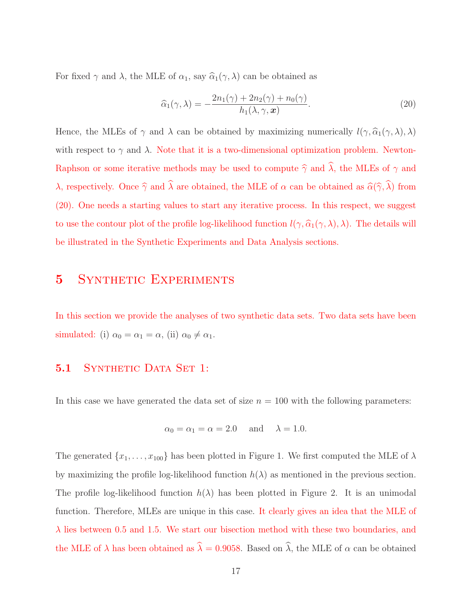For fixed  $\gamma$  and  $\lambda$ , the MLE of  $\alpha_1$ , say  $\widehat{\alpha}_1(\gamma, \lambda)$  can be obtained as

$$
\widehat{\alpha}_1(\gamma,\lambda) = -\frac{2n_1(\gamma) + 2n_2(\gamma) + n_0(\gamma)}{h_1(\lambda,\gamma,\boldsymbol{x})}.
$$
\n(20)

Hence, the MLEs of  $\gamma$  and  $\lambda$  can be obtained by maximizing numerically  $l(\gamma, \hat{\alpha}_1(\gamma, \lambda), \lambda)$ with respect to  $\gamma$  and  $\lambda$ . Note that it is a two-dimensional optimization problem. Newton-Raphson or some iterative methods may be used to compute  $\hat{\gamma}$  and  $\hat{\lambda}$ , the MLEs of  $\gamma$  and λ, respectively. Once  $\hat{\gamma}$  and  $\hat{\lambda}$  are obtained, the MLE of α can be obtained as  $\hat{\alpha}(\hat{\gamma}, \hat{\lambda})$  from (20). One needs a starting values to start any iterative process. In this respect, we suggest to use the contour plot of the profile log-likelihood function  $l(\gamma, \hat{\alpha}_1(\gamma, \lambda), \lambda)$ . The details will be illustrated in the Synthetic Experiments and Data Analysis sections.

#### 5 SYNTHETIC EXPERIMENTS

In this section we provide the analyses of two synthetic data sets. Two data sets have been simulated: (i)  $\alpha_0 = \alpha_1 = \alpha$ , (ii)  $\alpha_0 \neq \alpha_1$ .

#### 5.1 SYNTHETIC DATA SET 1:

In this case we have generated the data set of size  $n = 100$  with the following parameters:

$$
\alpha_0 = \alpha_1 = \alpha = 2.0
$$
 and  $\lambda = 1.0$ .

The generated  $\{x_1, \ldots, x_{100}\}$  has been plotted in Figure 1. We first computed the MLE of  $\lambda$ by maximizing the profile log-likelihood function  $h(\lambda)$  as mentioned in the previous section. The profile log-likelihood function  $h(\lambda)$  has been plotted in Figure 2. It is an unimodal function. Therefore, MLEs are unique in this case. It clearly gives an idea that the MLE of  $\lambda$  lies between 0.5 and 1.5. We start our bisection method with these two boundaries, and the MLE of  $\lambda$  has been obtained as  $\widehat{\lambda} = 0.9058$ . Based on  $\widehat{\lambda}$ , the MLE of  $\alpha$  can be obtained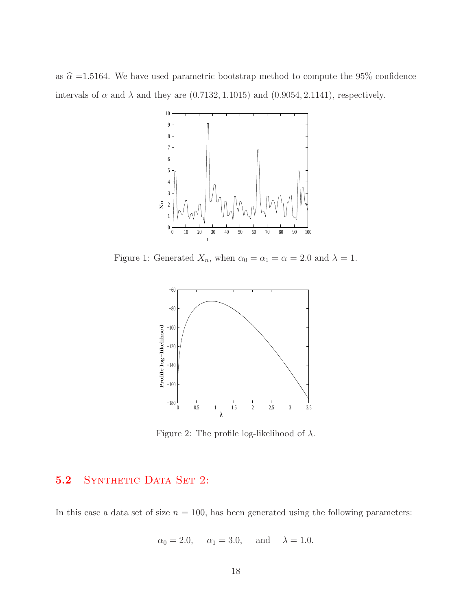as  $\hat{\alpha}$  =1.5164. We have used parametric bootstrap method to compute the 95% confidence intervals of  $\alpha$  and  $\lambda$  and they are (0.7132, 1.1015) and (0.9054, 2.1141), respectively.



Figure 1: Generated  $X_n$ , when  $\alpha_0 = \alpha_1 = \alpha = 2.0$  and  $\lambda = 1$ .



Figure 2: The profile log-likelihood of  $\lambda$ .

#### 5.2 SYNTHETIC DATA SET 2:

In this case a data set of size  $n = 100$ , has been generated using the following parameters:

$$
\alpha_0 = 2.0
$$
,  $\alpha_1 = 3.0$ , and  $\lambda = 1.0$ .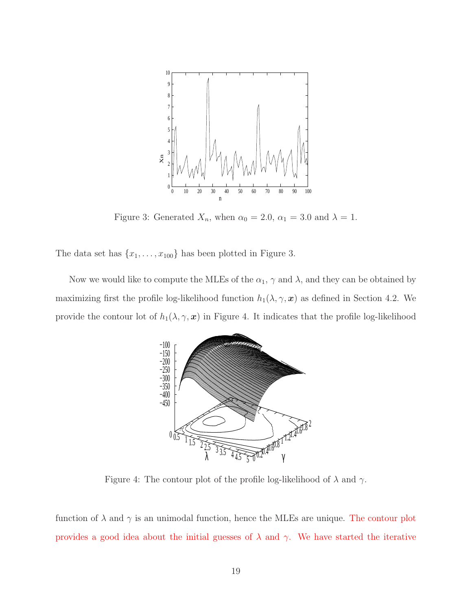

Figure 3: Generated  $X_n$ , when  $\alpha_0 = 2.0$ ,  $\alpha_1 = 3.0$  and  $\lambda = 1$ .

The data set has  $\{x_1, \ldots, x_{100}\}$  has been plotted in Figure 3.

Now we would like to compute the MLEs of the  $\alpha_1$ ,  $\gamma$  and  $\lambda$ , and they can be obtained by maximizing first the profile log-likelihood function  $h_1(\lambda, \gamma, x)$  as defined in Section 4.2. We provide the contour lot of  $h_1(\lambda, \gamma, x)$  in Figure 4. It indicates that the profile log-likelihood



Figure 4: The contour plot of the profile log-likelihood of  $\lambda$  and  $\gamma$ .

function of  $\lambda$  and  $\gamma$  is an unimodal function, hence the MLEs are unique. The contour plot provides a good idea about the initial guesses of  $\lambda$  and  $\gamma$ . We have started the iterative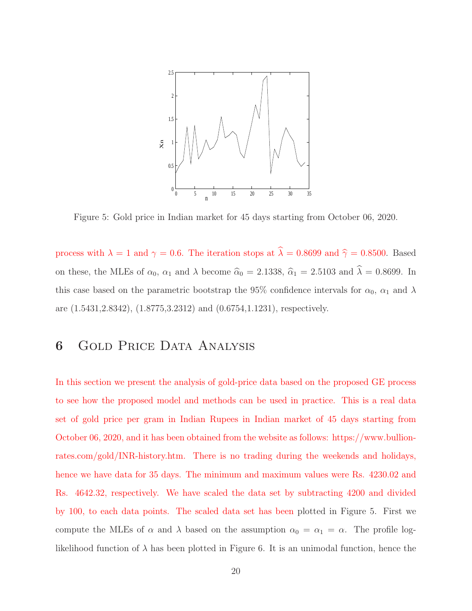

Figure 5: Gold price in Indian market for 45 days starting from October 06, 2020.

process with  $\lambda = 1$  and  $\gamma = 0.6$ . The iteration stops at  $\hat{\lambda} = 0.8699$  and  $\hat{\gamma} = 0.8500$ . Based on these, the MLEs of  $\alpha_0$ ,  $\alpha_1$  and  $\lambda$  become  $\hat{\alpha}_0 = 2.1338$ ,  $\hat{\alpha}_1 = 2.5103$  and  $\hat{\lambda} = 0.8699$ . In this case based on the parametric bootstrap the 95% confidence intervals for  $\alpha_0$ ,  $\alpha_1$  and  $\lambda$ are (1.5431,2.8342), (1.8775,3.2312) and (0.6754,1.1231), respectively.

# 6 Gold Price Data Analysis

In this section we present the analysis of gold-price data based on the proposed GE process to see how the proposed model and methods can be used in practice. This is a real data set of gold price per gram in Indian Rupees in Indian market of 45 days starting from October 06, 2020, and it has been obtained from the website as follows: https://www.bullionrates.com/gold/INR-history.htm. There is no trading during the weekends and holidays, hence we have data for 35 days. The minimum and maximum values were Rs.  $4230.02$  and Rs. 4642.32, respectively. We have scaled the data set by subtracting 4200 and divided by 100, to each data points. The scaled data set has been plotted in Figure 5. First we compute the MLEs of  $\alpha$  and  $\lambda$  based on the assumption  $\alpha_0 = \alpha_1 = \alpha$ . The profile loglikelihood function of  $\lambda$  has been plotted in Figure 6. It is an unimodal function, hence the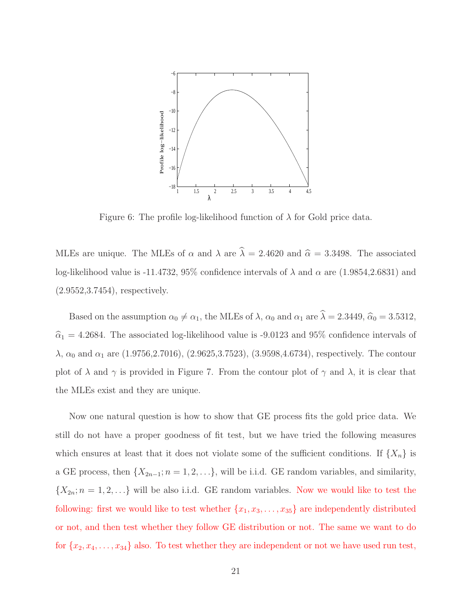

Figure 6: The profile log-likelihood function of  $\lambda$  for Gold price data.

MLEs are unique. The MLEs of  $\alpha$  and  $\lambda$  are  $\widehat{\lambda} = 2.4620$  and  $\widehat{\alpha} = 3.3498$ . The associated log-likelihood value is -11.4732, 95% confidence intervals of  $\lambda$  and  $\alpha$  are (1.9854,2.6831) and (2.9552,3.7454), respectively.

Based on the assumption  $\alpha_0 \neq \alpha_1$ , the MLEs of  $\lambda$ ,  $\alpha_0$  and  $\alpha_1$  are  $\hat{\lambda} = 2.3449, \hat{\alpha}_0 = 3.5312,$  $\hat{\alpha}_1 = 4.2684$ . The associated log-likelihood value is -9.0123 and 95% confidence intervals of  $\lambda$ ,  $\alpha_0$  and  $\alpha_1$  are (1.9756,2.7016), (2.9625,3.7523), (3.9598,4.6734), respectively. The contour plot of  $\lambda$  and  $\gamma$  is provided in Figure 7. From the contour plot of  $\gamma$  and  $\lambda$ , it is clear that the MLEs exist and they are unique.

Now one natural question is how to show that GE process fits the gold price data. We still do not have a proper goodness of fit test, but we have tried the following measures which ensures at least that it does not violate some of the sufficient conditions. If  $\{X_n\}$  is a GE process, then  $\{X_{2n-1}; n = 1, 2, \ldots\}$ , will be i.i.d. GE random variables, and similarity,  $\{X_{2n}; n = 1, 2, \ldots\}$  will be also i.i.d. GE random variables. Now we would like to test the following: first we would like to test whether  $\{x_1, x_3, \ldots, x_{35}\}$  are independently distributed or not, and then test whether they follow GE distribution or not. The same we want to do for  $\{x_2, x_4, \ldots, x_{34}\}\$ also. To test whether they are independent or not we have used run test,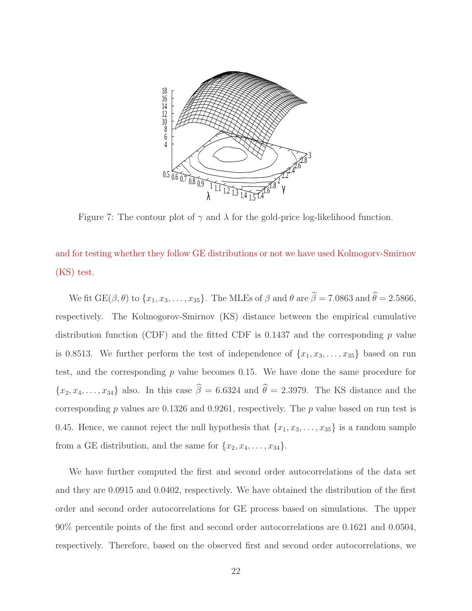

Figure 7: The contour plot of  $\gamma$  and  $\lambda$  for the gold-price log-likelihood function.

and for testing whether they follow GE distributions or not we have used Kolmogorv-Smirnov (KS) test.

We fit  $GE(\beta, \theta)$  to  $\{x_1, x_3, \ldots, x_{35}\}$ . The MLEs of  $\beta$  and  $\theta$  are  $\widehat{\beta} = 7.0863$  and  $\widehat{\theta} = 2.5866$ , respectively. The Kolmogorov-Smirnov (KS) distance between the empirical cumulative distribution function (CDF) and the fitted CDF is  $0.1437$  and the corresponding p value is 0.8513. We further perform the test of independence of  $\{x_1, x_3, \ldots, x_{35}\}$  based on run test, and the corresponding  $p$  value becomes 0.15. We have done the same procedure for  ${x_2, x_4, \ldots, x_{34}}$  also. In this case  $\hat{\beta} = 6.6324$  and  $\hat{\theta} = 2.3979$ . The KS distance and the corresponding p values are  $0.1326$  and  $0.9261$ , respectively. The p value based on run test is 0.45. Hence, we cannot reject the null hypothesis that  $\{x_1, x_3, \ldots, x_{35}\}$  is a random sample from a GE distribution, and the same for  $\{x_2, x_4, \ldots, x_{34}\}.$ 

We have further computed the first and second order autocorrelations of the data set and they are 0.0915 and 0.0402, respectively. We have obtained the distribution of the first order and second order autocorrelations for GE process based on simulations. The upper 90% percentile points of the first and second order autocorrelations are 0.1621 and 0.0504, respectively. Therefore, based on the observed first and second order autocorrelations, we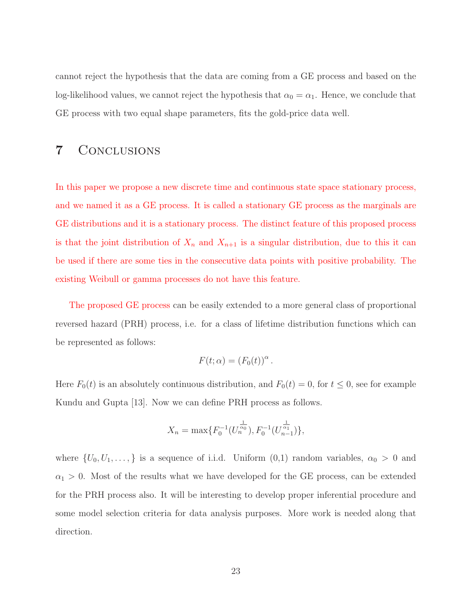cannot reject the hypothesis that the data are coming from a GE process and based on the log-likelihood values, we cannot reject the hypothesis that  $\alpha_0 = \alpha_1$ . Hence, we conclude that GE process with two equal shape parameters, fits the gold-price data well.

#### 7 Conclusions

In this paper we propose a new discrete time and continuous state space stationary process, and we named it as a GE process. It is called a stationary GE process as the marginals are GE distributions and it is a stationary process. The distinct feature of this proposed process is that the joint distribution of  $X_n$  and  $X_{n+1}$  is a singular distribution, due to this it can be used if there are some ties in the consecutive data points with positive probability. The existing Weibull or gamma processes do not have this feature.

The proposed GE process can be easily extended to a more general class of proportional reversed hazard (PRH) process, i.e. for a class of lifetime distribution functions which can be represented as follows:

$$
F(t; \alpha) = (F_0(t))^{\alpha}.
$$

Here  $F_0(t)$  is an absolutely continuous distribution, and  $F_0(t) = 0$ , for  $t \le 0$ , see for example Kundu and Gupta [13]. Now we can define PRH process as follows.

$$
X_n = \max\{F_0^{-1}(U_n^{\frac{1}{\alpha_0}}), F_0^{-1}(U_{n-1}^{\frac{1}{\alpha_1}})\},\
$$

where  $\{U_0, U_1, \ldots, \}$  is a sequence of i.i.d. Uniform  $(0,1)$  random variables,  $\alpha_0 > 0$  and  $\alpha_1 > 0$ . Most of the results what we have developed for the GE process, can be extended for the PRH process also. It will be interesting to develop proper inferential procedure and some model selection criteria for data analysis purposes. More work is needed along that direction.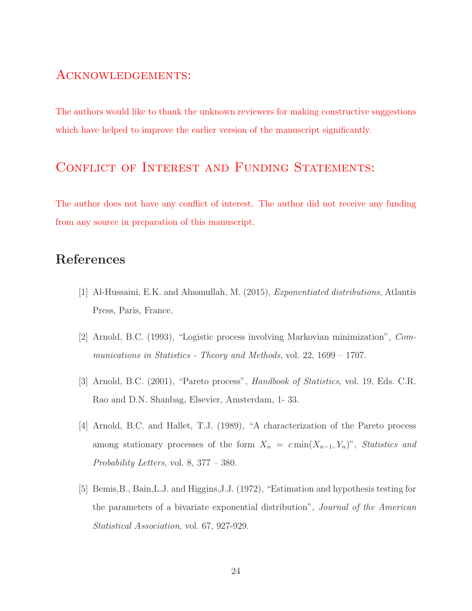#### Acknowledgements:

The authors would like to thank the unknown reviewers for making constructive suggestions which have helped to improve the earlier version of the manuscript significantly.

## CONFLICT OF INTEREST AND FUNDING STATEMENTS:

The author does not have any conflict of interest. The author did not receive any funding from any source in preparation of this manuscript.

#### References

- [1] Al-Hussaini, E.K. and Ahsanullah, M. (2015), Exponentiated distributions, Atlantis Press, Paris, France.
- [2] Arnold, B.C. (1993), "Logistic process involving Markovian minimization", Communications in Statistics - Theory and Methods, vol. 22, 1699 – 1707.
- [3] Arnold, B.C. (2001), "Pareto process", Handbook of Statistics, vol. 19, Eds. C.R. Rao and D.N. Shanbag, Elsevier, Amsterdam, 1- 33.
- [4] Arnold, B.C. and Hallet, T.J. (1989), "A characterization of the Pareto process among stationary processes of the form  $X_n = c \min(X_{n-1}, Y_n)$ ", Statistics and Probability Letters, vol. 8, 377 – 380.
- [5] Bemis,B., Bain,L.J. and Higgins,J.J. (1972), "Estimation and hypothesis testing for the parameters of a bivariate exponential distribution", Journal of the American Statistical Association, vol. 67, 927-929.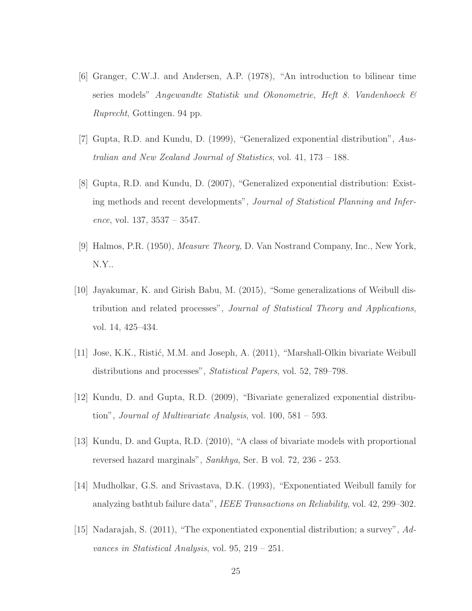- [6] Granger, C.W.J. and Andersen, A.P. (1978), "An introduction to bilinear time series models" Angewandte Statistik und Okonometrie, Heft 8. Vandenhoeck & Ruprecht, Gottingen. 94 pp.
- [7] Gupta, R.D. and Kundu, D. (1999), "Generalized exponential distribution", Australian and New Zealand Journal of Statistics, vol. 41, 173 – 188.
- [8] Gupta, R.D. and Kundu, D. (2007), "Generalized exponential distribution: Existing methods and recent developments", Journal of Statistical Planning and Inference, vol. 137, 3537 – 3547.
- [9] Halmos, P.R. (1950), Measure Theory, D. Van Nostrand Company, Inc., New York, N.Y..
- [10] Jayakumar, K. and Girish Babu, M. (2015), "Some generalizations of Weibull distribution and related processes", Journal of Statistical Theory and Applications, vol. 14, 425–434.
- [11] Jose, K.K., Ristić, M.M. and Joseph, A. (2011), "Marshall-Olkin bivariate Weibull distributions and processes", *Statistical Papers*, vol. 52, 789–798.
- [12] Kundu, D. and Gupta, R.D. (2009), "Bivariate generalized exponential distribution", *Journal of Multivariate Analysis*, vol.  $100, 581 - 593$ .
- [13] Kundu, D. and Gupta, R.D. (2010), "A class of bivariate models with proportional reversed hazard marginals", Sankhya, Ser. B vol. 72, 236 - 253.
- [14] Mudholkar, G.S. and Srivastava, D.K. (1993), "Exponentiated Weibull family for analyzing bathtub failure data", IEEE Transactions on Reliability, vol. 42, 299–302.
- [15] Nadarajah, S. (2011), "The exponentiated exponential distribution; a survey", Advances in Statistical Analysis, vol. 95, 219 – 251.